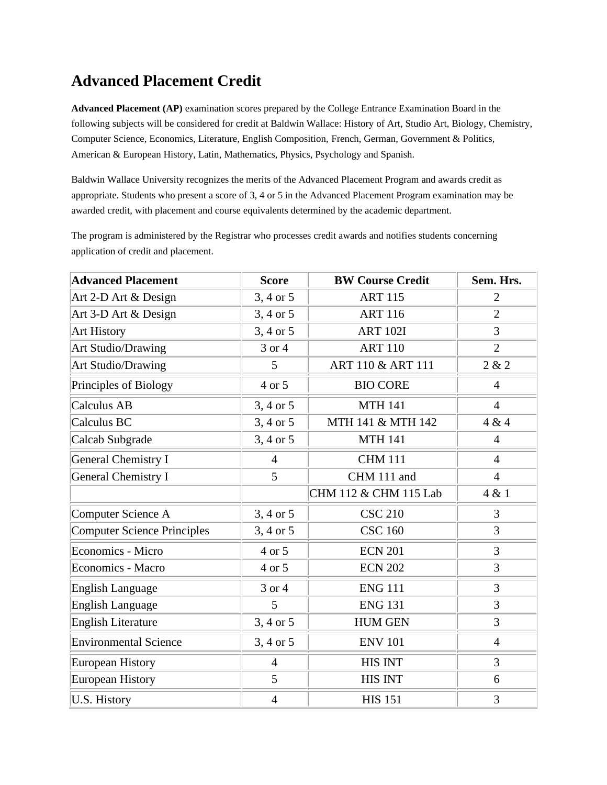## **Advanced Placement Credit**

**Advanced Placement (AP)** examination scores prepared by the College Entrance Examination Board in the following subjects will be considered for credit at Baldwin Wallace: History of Art, Studio Art, Biology, Chemistry, Computer Science, Economics, Literature, English Composition, French, German, Government & Politics, American & European History, Latin, Mathematics, Physics, Psychology and Spanish.

Baldwin Wallace University recognizes the merits of the Advanced Placement Program and awards credit as appropriate. Students who present a score of 3, 4 or 5 in the Advanced Placement Program examination may be awarded credit, with placement and course equivalents determined by the academic department.

The program is administered by the Registrar who processes credit awards and notifies students concerning application of credit and placement.

| <b>Advanced Placement</b>          | <b>Score</b>   | <b>BW Course Credit</b> | Sem. Hrs.      |
|------------------------------------|----------------|-------------------------|----------------|
| Art 2-D Art & Design               | 3, 4 or 5      | <b>ART 115</b>          | $\overline{2}$ |
| Art 3-D Art & Design               | 3, 4 or 5      | <b>ART 116</b>          | $\overline{2}$ |
| <b>Art History</b>                 | 3, 4 or 5      | <b>ART 102I</b>         | 3              |
| Art Studio/Drawing                 | 3 or 4         | <b>ART 110</b>          | $\overline{2}$ |
| Art Studio/Drawing                 | 5              | ART 110 & ART 111       | 2 & 2          |
| Principles of Biology              | 4 or 5         | <b>BIO CORE</b>         | $\overline{4}$ |
| Calculus AB                        | 3, 4 or 5      | <b>MTH 141</b>          | $\overline{4}$ |
| Calculus BC                        | 3, 4 or 5      | MTH 141 & MTH 142       | 4 & 4          |
| Calcab Subgrade                    | $3, 4$ or $5$  | <b>MTH 141</b>          | $\overline{4}$ |
| <b>General Chemistry I</b>         | $\overline{4}$ | <b>CHM 111</b>          | $\overline{4}$ |
| <b>General Chemistry I</b>         | 5              | CHM 111 and             | $\overline{4}$ |
|                                    |                | CHM 112 & CHM 115 Lab   | 4 & 1          |
| Computer Science A                 | 3, 4 or 5      | <b>CSC 210</b>          | 3              |
| <b>Computer Science Principles</b> | 3, 4 or 5      | <b>CSC 160</b>          | 3              |
| Economics - Micro                  | 4 or 5         | <b>ECN 201</b>          | 3              |
| <b>Economics - Macro</b>           | 4 or 5         | <b>ECN 202</b>          | 3              |
| <b>English Language</b>            | 3 or 4         | <b>ENG 111</b>          | 3              |
| <b>English Language</b>            | 5              | <b>ENG 131</b>          | 3              |
| <b>English Literature</b>          | 3, 4 or 5      | <b>HUM GEN</b>          | 3              |
| <b>Environmental Science</b>       | 3, 4 or 5      | <b>ENV 101</b>          | $\overline{4}$ |
| <b>European History</b>            | $\overline{4}$ | <b>HIS INT</b>          | 3              |
| <b>European History</b>            | 5              | <b>HIS INT</b>          | 6              |
| <b>U.S. History</b>                | $\overline{4}$ | <b>HIS 151</b>          | 3              |